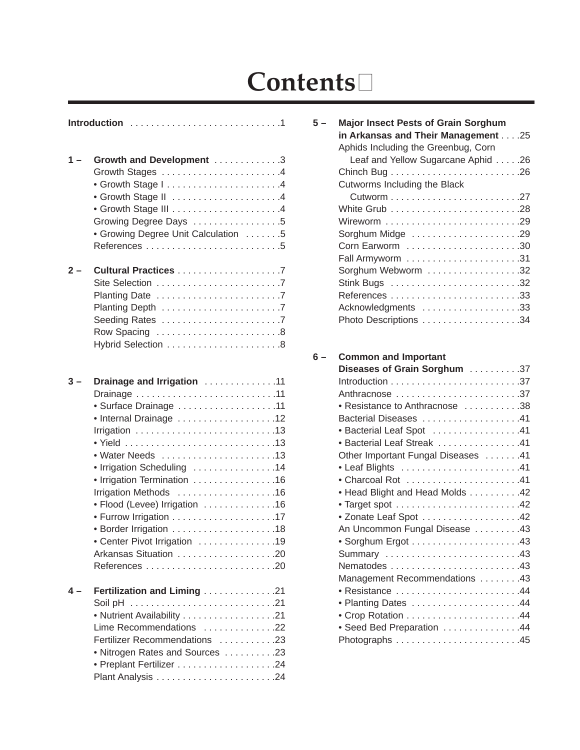## **Contents**

| $1 -$ | Growth and Development 3            |  |  |
|-------|-------------------------------------|--|--|
|       | Growth Stages 4                     |  |  |
|       | • Growth Stage I4                   |  |  |
|       |                                     |  |  |
|       |                                     |  |  |
|       |                                     |  |  |
|       | Growing Degree Days 5               |  |  |
|       | • Growing Degree Unit Calculation 5 |  |  |
|       |                                     |  |  |
| $2 -$ |                                     |  |  |
|       |                                     |  |  |
|       |                                     |  |  |
|       |                                     |  |  |
|       |                                     |  |  |
|       | Row Spacing 8                       |  |  |
|       | Hybrid Selection 8                  |  |  |
|       |                                     |  |  |
| 3 –   | Drainage and Irrigation 11          |  |  |
|       |                                     |  |  |
|       |                                     |  |  |
|       | • Surface Drainage 11               |  |  |
|       | • Internal Drainage 12              |  |  |
|       | Irrigation 13                       |  |  |
|       |                                     |  |  |
|       | • Water Needs 13                    |  |  |
|       | • Irrigation Scheduling 14          |  |  |
|       | Irrigation Termination 16           |  |  |
|       | Irrigation Methods 16               |  |  |
|       | • Flood (Levee) Irrigation 16       |  |  |
|       |                                     |  |  |
|       |                                     |  |  |
|       | Center Pivot Irrigation 19          |  |  |
|       | Arkansas Situation 20               |  |  |
|       |                                     |  |  |
| 4 –   | <b>Fertilization and Liming 21</b>  |  |  |
|       |                                     |  |  |
|       | • Nutrient Availability 21          |  |  |
|       | Lime Recommendations 22             |  |  |
|       | Fertilizer Recommendations 23       |  |  |
|       | • Nitrogen Rates and Sources 23     |  |  |
|       |                                     |  |  |
|       |                                     |  |  |
|       |                                     |  |  |

| $5 -$ | <b>Major Insect Pests of Grain Sorghum</b> |
|-------|--------------------------------------------|
|       | in Arkansas and Their Management 25        |
|       | Aphids Including the Greenbug, Corn        |
|       | Leaf and Yellow Sugarcane Aphid 26         |
|       |                                            |
|       | Cutworms Including the Black               |
|       |                                            |
|       |                                            |
|       | Wireworm 29                                |
|       |                                            |
|       | Corn Earworm 30                            |
|       |                                            |
|       | Sorghum Webworm 32                         |
|       |                                            |
|       |                                            |
|       | Acknowledgments 33                         |
|       |                                            |
|       |                                            |

## **6 – Common and Important**

| Diseases of Grain Sorghum 37       |
|------------------------------------|
|                                    |
|                                    |
| • Resistance to Anthracnose 38     |
|                                    |
| • Bacterial Leaf Spot 41           |
| • Bacterial Leaf Streak 41         |
| Other Important Fungal Diseases 41 |
|                                    |
| • Charcoal Rot 41                  |
| • Head Blight and Head Molds 42    |
|                                    |
| * Zonate Leaf Spot 42              |
| An Uncommon Fungal Disease 43      |
|                                    |
| Summary 43                         |
|                                    |
| Management Recommendations 43      |
| • Resistance 44                    |
|                                    |
|                                    |
| • Seed Bed Preparation 44          |
|                                    |
|                                    |